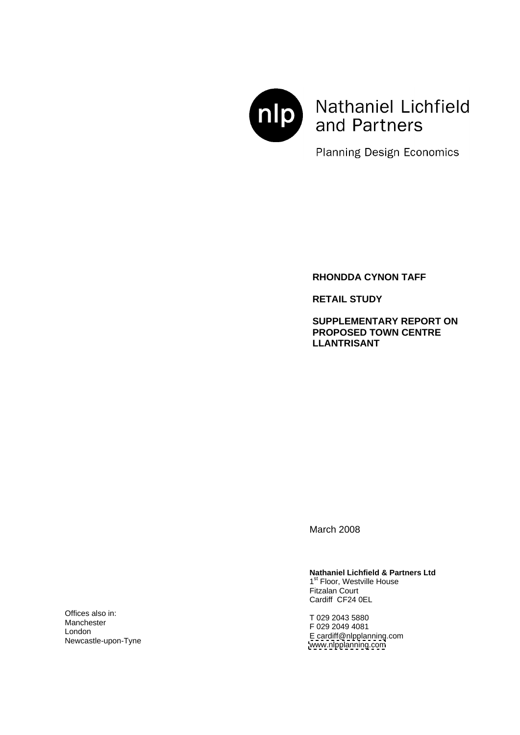

Nathaniel Lichfield and Partners

**Planning Design Economics** 

**RHONDDA CYNON TAFF**

**RETAIL STUDY**

**SUPPLEMENTARY REPORT ON PROPOSED TOWN CENTRE LLANTRISANT**

March 2008

# **Nathaniel Lichfield & Partners Ltd** 1<sup>st</sup> Floor, Westville House

1<sup>st</sup> Floor, Westville House **Follow** <sup>st</sup> Floor, Westville House Fitzalan Court Cardiff CF24 0EL

T 029 2043 5880 F 029 2049 4081 E cardiff@nlpplanning.com [www.nlpplanning.com](http://www.nlpplanning.com) Manchester **COLORED TRANSPORTED TO A 2000 2010 1001**  $\blacksquare$  London  $\blacksquare$  London  $\blacksquare$  London  $\blacksquare$  London  $\blacksquare$  London  $\blacksquare$  London  $\blacksquare$  London  $\blacksquare$  London  $\blacksquare$  London  $\blacksquare$  London  $\blacksquare$  London  $\blacksquare$  London  $\blacksquare$  London  $\blacksquare$  London  $\blacksquare$  London  $\blacksquare$  Lond

Offices also in:  $\Gamma_{029,2043,5990}$ Newcastle-upon-Tyne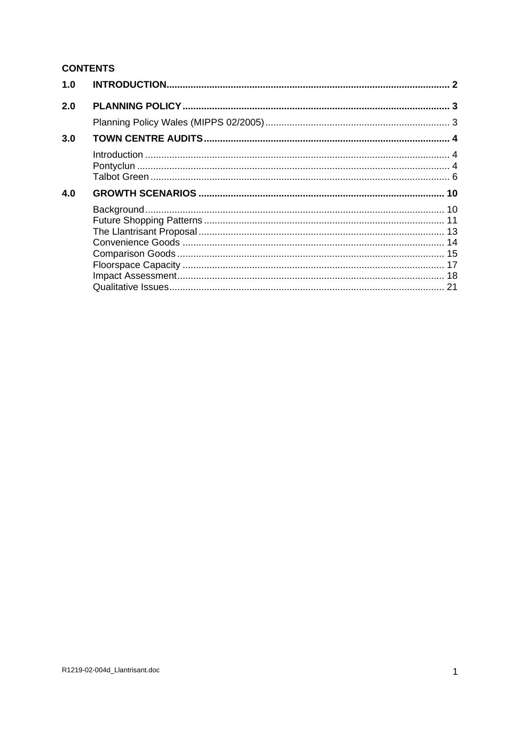# **CONTENTS**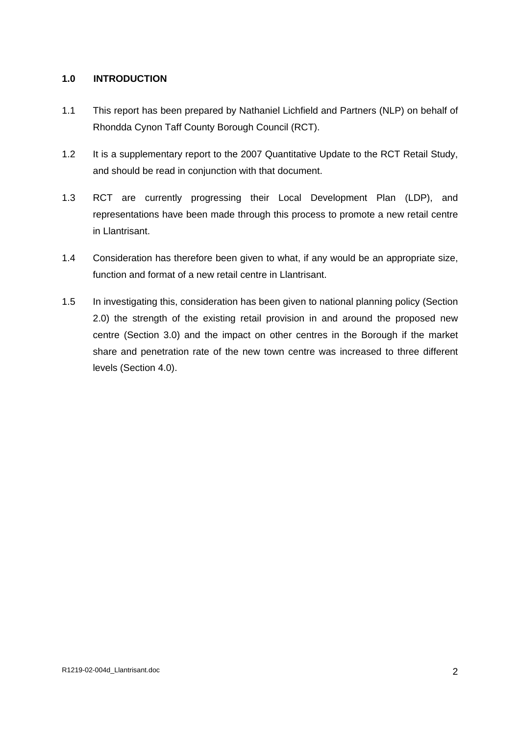## **1.0 INTRODUCTION**

- 1.1 This report has been prepared by Nathaniel Lichfield and Partners (NLP) on behalf of Rhondda Cynon Taff County Borough Council (RCT).
- 1.2 It is a supplementary report to the 2007 Quantitative Update to the RCT Retail Study, and should be read in conjunction with that document.
- 1.3 RCT are currently progressing their Local Development Plan (LDP), and representations have been made through this process to promote a new retail centre
- in Llantrisant.<br>1.4 Consideration has therefore been given to what, if any would be an appropriate size, function and format of a new retail centre in Llantrisant.
- 1.5 In investigating this, consideration has been given to national planning policy (Section 2.0) the strength of the existing retail provision in and around the proposed new centre (Section 3.0) and the impact on other centres in the Borough if the market share and penetration rate of the new town centre was increased to three different levels (Section 4.0).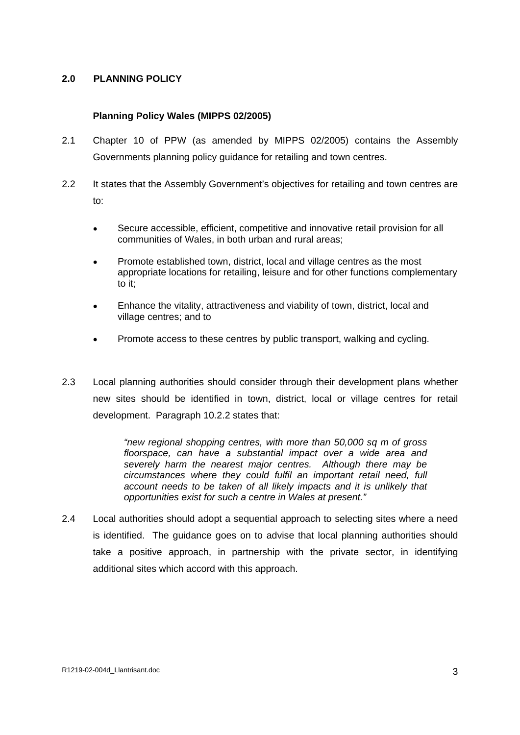# **2.0 PLANNING POLICY**

## **Planning Policy Wales (MIPPS 02/2005)**

- 2.1 Chapter 10 of PPW (as amended by MIPPS 02/2005) contains the Assembly Governments planning policy guidance for retailing and town centres.
- 2.2 It states that the Assembly Government's objectives for retailing and town centres are to:
	- Secure accessible, efficient, competitive and innovative retail provision for all  $\bullet$ communities of Wales, in both urban and rural areas;
	- Promote established town, district, local and village centres as the most appropriate locations for retailing, leisure and for other functions complementary to it;
	- Enhance the vitality, attractiveness and viability of town, district, local and village centres; and to
	- Promote access to these centres by public transport, walking and cycling.  $\bullet$
- 2.3 Local planning authorities should consider through their development plans whether new sites should be identified in town, district, local or village centres for retail development. Paragraph 10.2.2 states that:

"new regional shopping centres, with more than 50,000 sq m of gross floorspace, can have a substantial impact over a wide area and severely harm the nearest major centres. Although there may be circumstances where they could fulfil an important retail need, full account needs to be taken of all likely impacts and it is unlikely that opportunities exist for such a centre in Wales at present."

2.4 Local authorities should adopt a sequential approach to selecting sites where a need is identified. The guidance goes on to advise that local planning authorities should take a positive approach, in partnership with the private sector, in identifying additional sites which accord with this approach.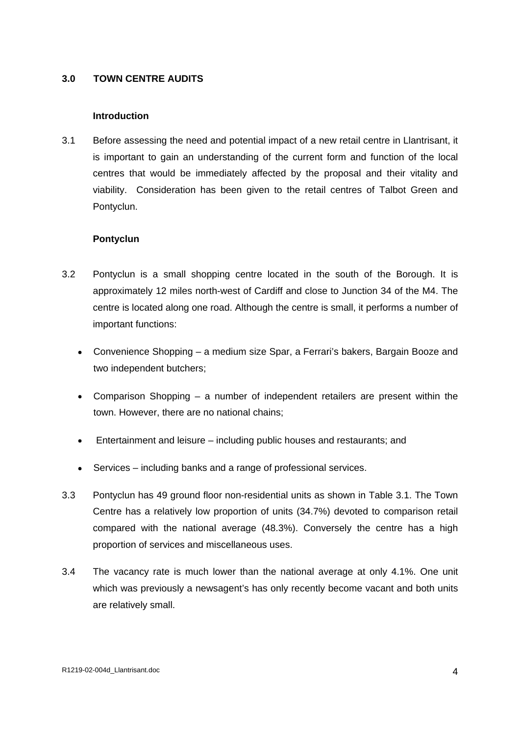# **3.0 TOWN CENTRE AUDITS**

## **Introduction**

3.1 Before assessing the need and potential impact of a new retail centre in Llantrisant, it is important to gain an understanding of the current form and function of the local centres that would be immediately affected by the proposal and their vitality and viability. Consideration has been given to the retail centres of Talbot Green and Pontyclun.

#### **Pontyclun**

- 3.2 Pontyclun is a small shopping centre located in the south of the Borough. It is approximately 12 miles north-west of Cardiff and close to Junction 34 of the M4. The centre is located along one road. Although the centre is small, it performs a number of important functions:
	- Convenience Shopping a medium size Spar, a Ferrari's bakers, Bargain Booze and two independent butchers;
	- Comparison Shopping a number of independent retailers are present within the town. However, there are no national chains;
	- Entertainment and leisure including public houses and restaurants; and  $\bullet$
	- Services including banks and a range of professional services.
- 3.3 Pontyclun has 49 ground floor non-residential units as shown in Table 3.1. The Town Centre has a relatively low proportion of units (34.7%) devoted to comparison retail compared with the national average (48.3%). Conversely the centre has a high proportion of services and miscellaneous uses.
- 3.4 The vacancy rate is much lower than the national average at only 4.1%. One unit which was previously a newsagent's has only recently become vacant and both units are relatively small.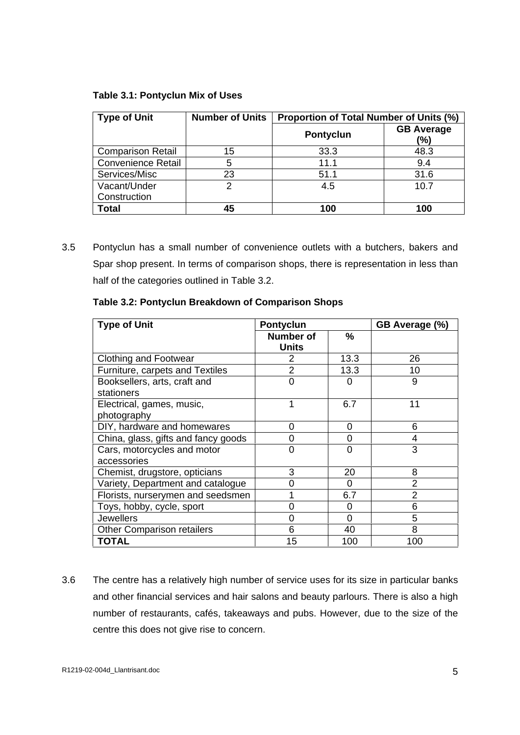## **Table 3.1: Pontyclun Mix of Uses**

| <sup>I</sup> Type of Unit | Number of Units   Proportion of Total Number of Units (%) |                             |
|---------------------------|-----------------------------------------------------------|-----------------------------|
|                           | <b>Pontyclun</b>                                          | <b>GB Average</b><br>$(\%)$ |
| Comparison Retail         | 33.3                                                      | 48.3                        |
| Convenience Retail        | 11.1                                                      |                             |
| Services/Misc             |                                                           | 31.6                        |
| Vacant/Under              |                                                           | 10.7                        |
| Construction              |                                                           |                             |
| <b>Total</b>              |                                                           | 100                         |

3.5 Pontyclun has a small number of convenience outlets with a butchers, bakers and Spar shop present. In terms of comparison shops, there is representation in less than half of the categories outlined in Table 3.2.

| <b>Type of Unit</b>                 | Pontyclun        |      | GB Average (%) |
|-------------------------------------|------------------|------|----------------|
|                                     | <b>Number of</b> |      |                |
|                                     | Units            |      |                |
| <b>Clothing and Footwear</b>        |                  | 13.3 |                |
| Furniture, carpets and Textiles     |                  | 13.3 |                |
| Booksellers, arts, craft and        |                  |      |                |
| stationers                          |                  |      |                |
| Electrical, games, music,           |                  | 6.7  |                |
| photography                         |                  |      |                |
| DIY, hardware and homewares         |                  |      |                |
| China, glass, gifts and fancy goods |                  |      |                |
| Cars, motorcycles and motor         |                  |      |                |
| accessories                         |                  |      |                |
| Chemist, drugstore, opticians       |                  | 20   |                |
| Variety, Department and catalogue   |                  |      |                |
| Florists, nurserymen and seedsmen   |                  | 6.7  |                |
| Toys, hobby, cycle, sport           |                  |      |                |
| Jewellers                           |                  |      |                |
| Other Comparison retailers          |                  | 40   |                |
| <b>TOTAL</b>                        |                  | 100  | 100            |

**Table 3.2: Pontyclun Breakdown of Comparison Shops**

3.6 The centre has a relatively high number of service uses for its size in particular banks and other financial services and hair salons and beauty parlours. There is also a high number of restaurants, cafés, takeaways and pubs. However, due to the size of the centre this does not give rise to concern.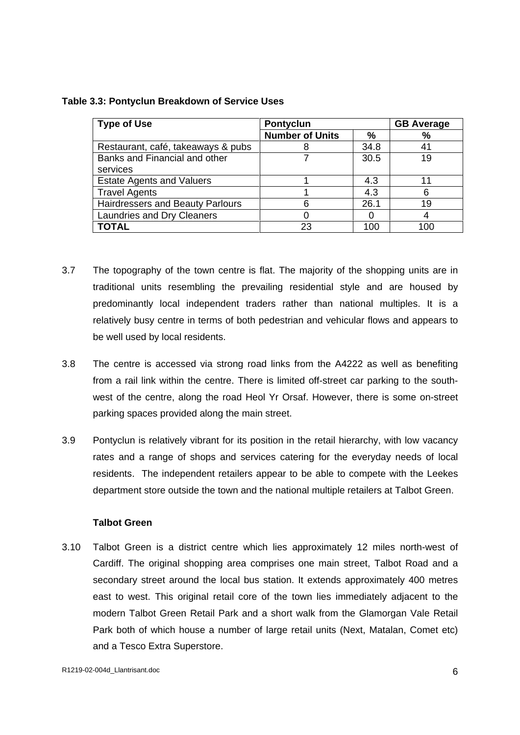## **Table 3.3: Pontyclun Breakdown of Service Uses**

| Type of Use                             | Pontyclu.       |              | <b>GB</b> Average |
|-----------------------------------------|-----------------|--------------|-------------------|
|                                         | Number of Units |              |                   |
| Restaurant, café, takeaways & pubs      |                 |              |                   |
| Banks and Financial and other           |                 | າ∩ ⊳<br>JU.J |                   |
| services                                |                 |              |                   |
| <b>Estate Agents and Valuers</b>        |                 |              |                   |
| Travel Agents                           |                 |              |                   |
| <b>Hairdressers and Beauty Parlours</b> |                 |              |                   |
| <b>Laundries and Dry Cleaners</b>       |                 |              |                   |
| <b>TOTAL</b>                            |                 | 100          | ∩∩ ו              |

- 3.7 The topography of the town centre is flat. The majority of the shopping units are in traditional units resembling the prevailing residential style and are housed by predominantly local independent traders rather than national multiples. It is a relatively busy centre in terms of both pedestrian and vehicular flows and appears to be well used by local residents.
- 3.8 The centre is accessed via strong road links from the A4222 as well as benefiting from a rail link within the centre. There is limited off-street car parking to the south west of the centre, along the road Heol Yr Orsaf. However, there is some on-street parking spaces provided along the main street.
- 3.9 Pontyclun is relatively vibrant for its position in the retail hierarchy, with low vacancy rates and a range of shops and services catering for the everyday needs of local residents. The independent retailers appear to be able to compete with the Leekes department store outside the town and the national multiple retailers at Talbot Green.

## **Talbot Green**

3.10 Talbot Green is a district centre which lies approximately 12 miles north-west of Cardiff. The original shopping area comprises one main street, Talbot Road and a secondary street around the local bus station. It extends approximately 400 metres east to west. This original retail core of the town lies immediately adjacent to the modern Talbot Green Retail Park and a short walk from the Glamorgan Vale Retail Park both of which house a number of large retail units (Next, Matalan, Comet etc) and a Tesco Extra Superstore.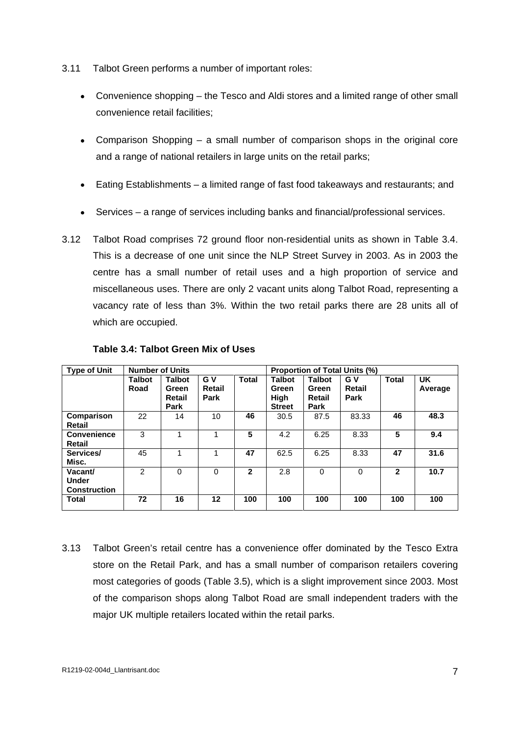- 3.11 Talbot Green performs a number of important roles:
	- Convenience shopping the Tesco and Aldi stores and a limited range of other small convenience retail facilities;
	- Comparison Shopping a small number of comparison shops in the original core  $\bullet$ and a range of national retailers in large units on the retail parks;
	- Eating Establishments a limited range of fast food takeaways and restaurants; and
	- Services a range of services including banks and financial/professional services.
- 3.12 Talbot Road comprises 72 ground floor non-residential units as shown in Table 3.4. This is a decrease of one unit since the NLP Street Survey in 2003. As in 2003 the centre has a small number of retail uses and a high proportion of service and miscellaneous uses. There are only 2 vacant units along Talbot Road, representing a vacancy rate of less than 3%. Within the two retail parks there are 28 units all of which are occupied.

| Type of Unit        | Number of Units |               |                 |       |                      |        | <b>Proportion of Total Units (%)</b> |              |         |
|---------------------|-----------------|---------------|-----------------|-------|----------------------|--------|--------------------------------------|--------------|---------|
|                     | <b>Talbot</b>   | <b>Talbot</b> | $\sqrt{G}V$     | Total | <b>Talbot</b>        | Talbot | <b>GV</b>                            | <b>Total</b> | l UK    |
|                     | Road            | Green         | <b>Retail</b>   |       | Green                | Green  | <b>Retail</b>                        |              | Average |
|                     |                 | Retail        | Park            |       | High                 | Retail | Park                                 |              |         |
|                     |                 | Park          |                 |       | Street               | Park   |                                      |              |         |
| <b>Comparison</b>   | າາ<br>$\sim$    | - 14          | 1 V             | 46    | 30.5                 | 87.5   | 83.33                                | 46           | 48.3    |
| Retail              |                 |               |                 |       |                      |        |                                      |              |         |
| Convenience         |                 |               |                 |       | 4.2                  | 6.25   | 8.33                                 |              | 9.4     |
| Retail              |                 |               |                 |       |                      |        |                                      |              |         |
| Services/           | 45.             |               |                 | -47   | 62.5                 | 6.25   | 8.33                                 | -47          | 31.6    |
| Misc.               |                 |               |                 |       |                      |        |                                      |              |         |
| Vacant              |                 |               |                 |       | $\sim$ $\sim$<br>z.o |        |                                      |              | 10.7    |
| <b>Under</b>        |                 |               |                 |       |                      |        |                                      |              |         |
| <b>Construction</b> |                 |               |                 |       |                      |        |                                      |              |         |
| <b>Total</b>        | 70<br>$\sim$    |               | 12 <sup>1</sup> | 100   | 100                  | 100    | 100                                  | 100          | 100     |
|                     |                 |               |                 |       |                      |        |                                      |              |         |

## **Table 3.4: Talbot Green Mix of Uses**

3.13 Talbot Green's retail centre has a convenience offer dominated by the Tesco Extra store on the Retail Park, and has a small number of comparison retailers covering most categories of goods (Table 3.5), which is a slight improvement since 2003. Most of the comparison shops along Talbot Road are small independent traders with the major UK multiple retailers located within the retail parks.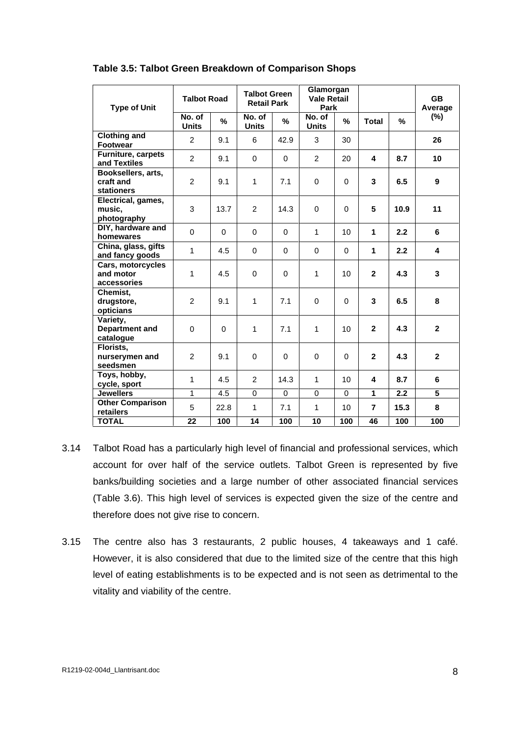| <b>Type of Unit</b>                                                                                                                         | <b>Talbot Road</b> |            | <b>Talbot Green</b><br><b>Retail Park</b> |                 | Glamorgan<br><b>Vale Retail</b><br>Park |                | GB<br>Average     |
|---------------------------------------------------------------------------------------------------------------------------------------------|--------------------|------------|-------------------------------------------|-----------------|-----------------------------------------|----------------|-------------------|
|                                                                                                                                             | No. of<br>Units    |            | No. of<br>Units<br>$\%$                   | No. of<br>Units |                                         | <b>Total</b>   | (%)<br>$\%$       |
| <b>Clothing and<br/>Footwear<br/>Furniture, carpets<br/>and Textiles</b>                                                                    |                    | 9.1        |                                           | 42.9            | 30                                      |                | 26                |
|                                                                                                                                             |                    | 9.1        |                                           |                 | 20                                      |                | 8.7<br>10         |
| Booksellers, arts,<br>craft and<br>stationers<br>Electrical, games,                                                                         |                    | 9.1        |                                           | 7.1             |                                         | $\mathbf{3}$   | $\vert 6.5 \vert$ |
| music,<br>photography                                                                                                                       |                    | 13.7       |                                           | 14.3            |                                         |                | 10.9<br>11        |
| DIY, hardware and                                                                                                                           |                    |            |                                           |                 | 10                                      |                | 2.2               |
|                                                                                                                                             |                    | 4.5        |                                           |                 |                                         |                | 2.2               |
| homewares<br>China, glass, gifts<br>and fancy goods<br>Cars, motorcycles<br>and motor<br>accessories                                        |                    |            |                                           |                 | 1 <sub>0</sub>                          |                | 4.3               |
| Chemist,                                                                                                                                    |                    | 9.1        | 7.1                                       |                 |                                         | - 3            | 6.5               |
| drugstore,<br>opticians<br>Variety,<br>Department and                                                                                       |                    |            | 7.1                                       |                 | 10 <sup>1</sup>                         |                | 4.3               |
| catalogue<br>Florists,<br>nunserymen and<br>seedsmen<br>Toys, hobby,<br>cycle, sport<br>Jewellers<br>Other Comparison<br>retailers<br>TOTAL |                    | 9.1        |                                           |                 |                                         | $\overline{2}$ | 4.3               |
|                                                                                                                                             |                    | 4.5        |                                           | 14.3            | 10                                      | $\overline{4}$ | $\sqrt{8.7}$      |
|                                                                                                                                             |                    | $1 \t 4.5$ |                                           | - 0 - 1         |                                         |                | 0 0 1 2.2 5       |
|                                                                                                                                             |                    | 22.8       | 7.1                                       |                 | 10                                      |                | 15.3              |
|                                                                                                                                             | $22 100$           |            | 14                                        |                 | $100$ $10$ $100$                        |                | 100               |

## **Table 3.5: Talbot Green Breakdown of Comparison Shops**

- 3.14 Talbot Road has a particularly high level of financial and professional services, which account for over half of the service outlets. Talbot Green is represented by five banks/building societies and a large number of other associated financial services (Table 3.6). This high level of services is expected given the size of the centre and therefore does not give rise to concern.
- 3.15 The centre also has 3 restaurants, 2 public houses, 4 takeaways and 1 café. However, it is also considered that due to the limited size of the centre that this high level of eating establishments is to be expected and is not seen as detrimental to the vitality and viability of the centre.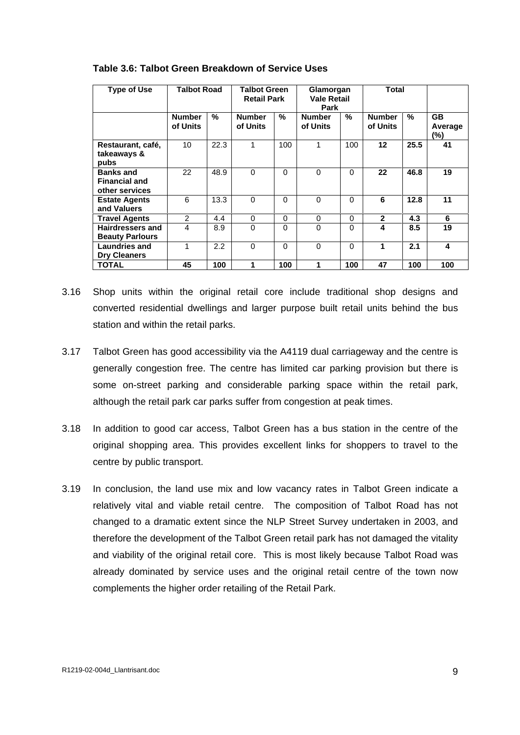| Type of Use             | <b>Talbot Road</b> |                      | <b>Talbot Green</b> |          | Glamorgan          |               | Total                                                                 |                |
|-------------------------|--------------------|----------------------|---------------------|----------|--------------------|---------------|-----------------------------------------------------------------------|----------------|
|                         |                    |                      | <b>Retail Park</b>  |          | <b>Vale Retail</b> |               |                                                                       |                |
|                         |                    |                      |                     |          | Park               |               |                                                                       |                |
|                         | Number             |                      | <b>Number</b>       |          | Number             | <b>Number</b> |                                                                       | اف ا           |
|                         | of Units           |                      | of Units            | of Units |                    | of Units      |                                                                       | Average        |
|                         |                    |                      |                     |          |                    |               |                                                                       |                |
| Restaurant, café,       |                    | $\vert$ 22.3 $\vert$ |                     | 100      |                    | 100           | $\frac{12}{25.5}$ $\frac{17}{4}$                                      |                |
| takeaways &             |                    |                      |                     |          |                    |               |                                                                       |                |
|                         |                    |                      |                     |          |                    |               |                                                                       |                |
| pubs<br>Banks and       | $\sim$             | 48.9                 | ∪ ∪                 |          |                    |               | 22 46.8                                                               | 19             |
| Financial and           |                    |                      |                     |          |                    |               |                                                                       |                |
| other services          |                    |                      |                     |          |                    |               |                                                                       |                |
| <b>Estate Agents</b>    |                    |                      |                     |          |                    |               | $\vert$ 12.8 $\vert$                                                  |                |
| and Valuers             |                    |                      |                     |          |                    |               |                                                                       |                |
| <b>Travel Agents</b>    |                    |                      |                     |          |                    |               | 4.3                                                                   |                |
| <b>Hairdressers and</b> |                    | 8.9                  |                     |          |                    |               | $\begin{array}{ c c c c c } \hline \text{8.5} & \text{ } \end{array}$ | 19             |
| <b>Beauty Parlours</b>  |                    |                      |                     |          |                    |               |                                                                       |                |
| <b>Laundries and</b>    |                    |                      |                     |          |                    |               | 2.1                                                                   |                |
| Dry Cleaners            |                    |                      |                     |          |                    |               |                                                                       |                |
| <b>TOTAL</b>            |                    | $\vert$ 100          |                     | 100      |                    | 100           |                                                                       | 47   100   100 |

#### **Table 3.6: Talbot Green Breakdown of Service Uses**

- 3.16 Shop units within the original retail core include traditional shop designs and converted residential dwellings and larger purpose built retail units behind the bus
- station and within the retail parks.<br>3.17 Talbot Green has good accessibility via the A4119 dual carriageway and the centre is generally congestion free. The centre has limited car parking provision but there is some on-street parking and considerable parking space within the retail park,<br>although the retail park car parks suffer from congestion at peak times.<br>3.18 In addition to good car access, Talbot Green has a bus station in
- original shopping area. This provides excellent links for shoppers to travel to the centre by public transport.
- 3.19 In conclusion, the land use mix and low vacancy rates in Talbot Green indicate a relatively vital and viable retail centre. The composition of Talbot Road has not changed to a dramatic extent since the NLP Street Survey undertaken in 2003, and therefore the development of the Talbot Green retail park has not damaged the vitality and viability of the original retail core. This is most likely because Talbot Road was already dominated by service uses and the original retail centre of the town now complements the higher order retailing of the Retail Park.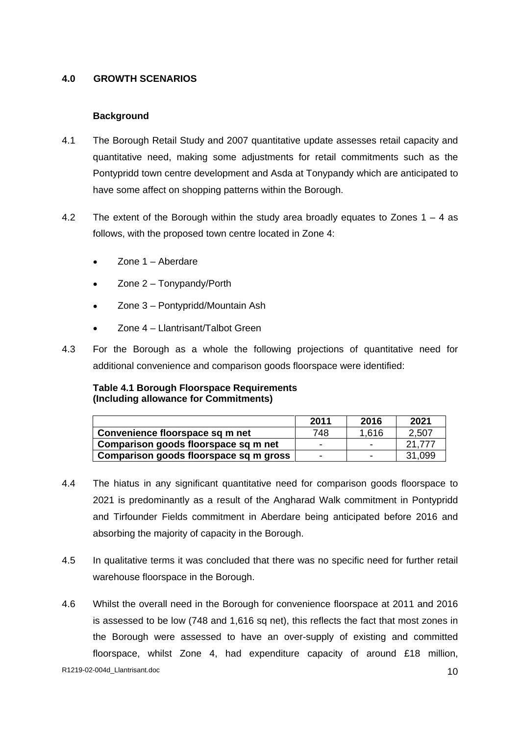# **4.0 GROWTH SCENARIOS**

## **Background**

- 4.1 The Borough Retail Study and 2007 quantitative update assesses retail capacity and quantitative need, making some adjustments for retail commitments such as the Pontypridd town centre development and Asda at Tonypandy which are anticipated to
- have some affect on shopping patterns within the Borough.<br>4.2 The extent of the Borough within the study area broadly equates to Zones 1 4 as follows, with the proposed town centre located in Zone 4:
	- $\bullet$ Zone 1 – Aberdare
	- $\bullet$ Zone 2 – Tonypandy/Porth
	- Zone 3 Pontypridd/Mountain Ash
	- Zone 4 Llantrisant/Talbot Green
- 4.3 For the Borough as a whole the following projections of quantitative need for additional convenience and comparison goods floorspace were identified:

## **Table 4.1 Borough Floorspace Requirements (Including allowance for Commitments)**

|                                        | 2011<br>⊷ | 2016          | 2021                         |
|----------------------------------------|-----------|---------------|------------------------------|
| Convenience floorspace sq m net        |           | $\sim$ $\sim$ | $\Omega$ $E\Omega$<br>$\sim$ |
| Comparison goods floorspace sq m net   |           |               | 24.777<br>21.111             |
| Comparison goods floorspace sq m gross |           |               | 31,099                       |

- 4.4 The hiatus in any significant quantitative need for comparison goods floorspace to 2021 is predominantly as a result of the Angharad Walk commitment in Pontypridd and Tirfounder Fields commitment in Aberdare being anticipated before 2016 and absorbing the majority of capacity in the Borough.
- 4.5 In qualitative terms it was concluded that there was no specific need for further retail warehouse floorspace in the Borough.
- 4.6 Whilst the overall need in the Borough for convenience floorspace at 2011 and 2016 is assessed to be low (748 and 1,616 sq net), this reflects the fact that most zones in the Borough were assessed to have an over-supply of existing and committed floorspace, whilst Zone 4, had expenditure capacity of around £18 million,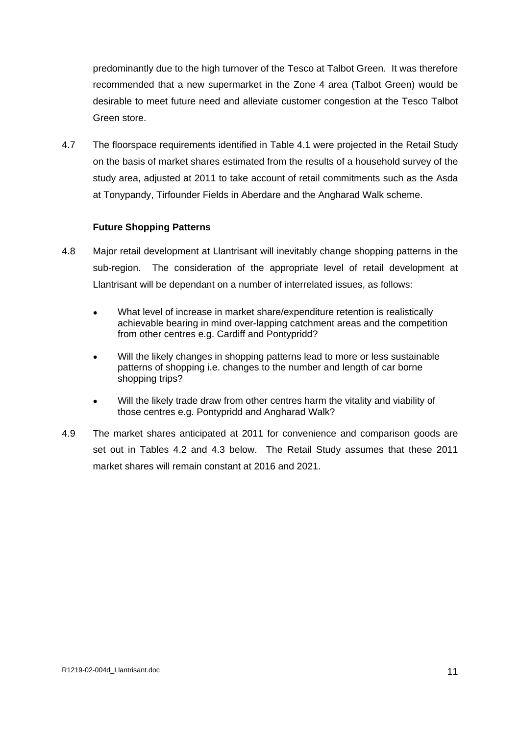predominantly due to the high turnover of the Tesco at Talbot Green. It was therefore recommended that a new supermarket in the Zone 4 area (Talbot Green) would be desirable to meet future need and alleviate customer congestion at the Tesco Talbot Green store. **Green store** and the store of the store of the store of the store of the store of the store of the store of the store of the store of the store of the store of the store of the store of the store of the store

4.7 The floorspace requirements identified in Table 4.1 were projected in the Retail Study on the basis of market shares estimated from the results of a household survey of the study area, adjusted at 2011 to take account of retail commitments such as the Asda at Tonypandy, Tirfounder Fields in Aberdare and the Angharad Walk scheme.

# **Future Shopping Patterns**

- 4.8 Major retail development at Llantrisant will inevitably change shopping patterns in the sub-region. The consideration of the appropriate level of retail development at Llantrisant will be dependant on a number of interrelated issues, as follows:
	- What level of increase in market share/expenditure retention is realistically  $\bullet$ achievable bearing in mind over-lapping catchment areas and the competition from other centres e.g. Cardiff and Pontypridd?
	- $\bullet$ Will the likely changes in shopping patterns lead to more or less sustainable patterns of shopping i.e. changes to the number and length of car borne shopping trips?
	- Will the likely trade draw from other centres harm the vitality and viability of those centres e.g. Pontypridd and Angharad Walk?
- 4.9 The market shares anticipated at 2011 for convenience and comparison goods are set out in Tables 4.2 and 4.3 below. The Retail Study assumes that these 2011 market shares will remain constant at 2016 and 2021.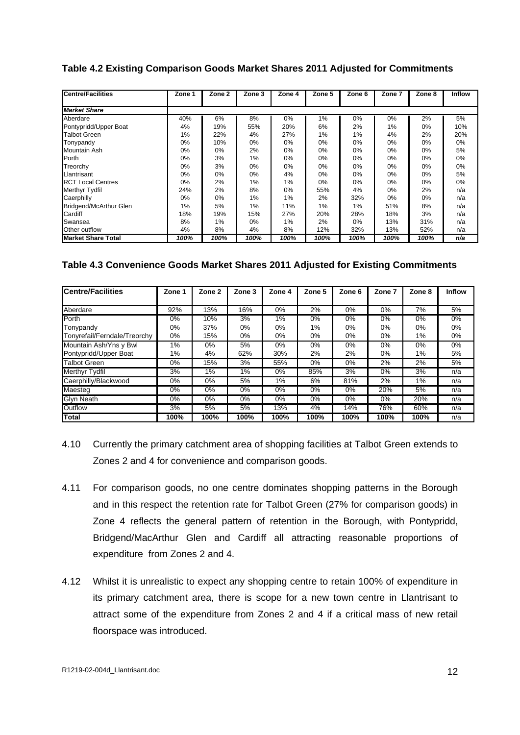## **Table 4.2 Existing Comparison Goods Market Shares 2011 Adjusted for Commitments**

| <b>Centre/Facilities</b>              |            |      |      |            |      |            |         | Zone 1   Zone 2   Zone 3   Zone 4   Zone 5   Zone 6   Zone 7   Zone 8   Inflow |       |
|---------------------------------------|------------|------|------|------------|------|------------|---------|--------------------------------------------------------------------------------|-------|
|                                       |            |      |      |            |      |            |         |                                                                                |       |
| <b>Market Share</b>                   |            |      |      |            |      |            |         |                                                                                |       |
| $\cdots$ .<br>Aberdare                | 40%        |      |      |            |      |            |         | .5%                                                                            |       |
|                                       | 4%         |      | 55%  |            |      |            |         |                                                                                |       |
| Pontypridd/Upper Boat<br>Talbot Green | 1%         |      |      |            |      |            |         |                                                                                |       |
| Tonypandy                             | U%         | 10%  |      | <b>U70</b> |      | U 70       |         | U70                                                                            |       |
| Mountain Ash                          | $U\%$      | U%   |      | <b>U70</b> | U 70 | U 70       |         |                                                                                | <br>C |
| Porth                                 | <b>U70</b> |      |      | 0%         |      |            |         | 0%                                                                             |       |
| Treorchy                              | U%         |      |      | $0\%$      |      |            |         | U%                                                                             |       |
| Llantrisant                           | U%         |      |      | 4%         |      | U%         |         | - 5%                                                                           |       |
| <b>RCT Local Centres</b>              | U%         |      |      |            | U7d  | <b>U70</b> | U70     | - U 70                                                                         | U%    |
| Merthyr Tydfil                        | 24%        |      |      | U%         | 55%  | 4%         |         |                                                                                | n/a   |
|                                       |            |      | O70  |            |      | 32%        |         | $\sim$ 70                                                                      |       |
| Caerphilly                            | U%         |      |      |            |      |            |         |                                                                                |       |
| <b>Bridgend/McArthur Glen</b>         | 1%         |      |      |            |      |            |         |                                                                                |       |
| Cardiff                               | 18%        | 19%  | 15%  |            | 20%  | <b>28%</b> | 18%     |                                                                                | n/a   |
| Swansea                               | 8%         |      |      |            |      | $U$ /0     | 13%     | 31%<br>n/a                                                                     |       |
| Other outflow                         | 4%         |      |      | 8% B       | 12%  | $32\%$     | 13%     | $52\%$  <br>n/a                                                                |       |
| Market Share Total                    | 100%       | 100% | 100% | $100\%$    | 100% | $100\%$    | $100\%$ | n/a<br>100%                                                                    |       |

## **Table 4.3 Convenience Goods Market Shares 2011 Adjusted for Existing Commitments**

| <b>Centre/Facilities</b>               | Zone 1   Zone 2   Zone 3   Zone 4   Zone 5   Zone 6   Zone 7   Zone 8   Inflow |               |      |           |      |           |     |     |
|----------------------------------------|--------------------------------------------------------------------------------|---------------|------|-----------|------|-----------|-----|-----|
|                                        |                                                                                |               |      |           |      |           |     |     |
| Aberdare                               | 92%                                                                            | 1.3%          |      |           |      |           |     |     |
|                                        | U%                                                                             | 1 U 7 c       |      |           |      |           |     |     |
|                                        |                                                                                |               |      |           |      |           |     |     |
| nyrefail/Ferndale/Treorch              |                                                                                | ה הרבו        |      |           |      |           |     |     |
| Mountain Ash/Yns y Bwl                 |                                                                                |               |      |           |      |           |     |     |
|                                        |                                                                                |               | -30% |           |      |           |     |     |
| Pontypridd/Upper Boat<br>Talbot Green  |                                                                                |               |      |           |      |           |     |     |
| Merthyr Tydfil<br>Caerphilly/Blackwood |                                                                                |               |      |           |      |           |     |     |
|                                        |                                                                                |               |      |           |      |           |     |     |
| Maesteo                                |                                                                                | $\frac{1}{2}$ |      | . U%      | U% U | ZU%       | ാ″െ | n/a |
| /n Neath                               |                                                                                |               |      |           |      |           |     |     |
| <b>Dutflow</b>                         |                                                                                | - 370         | 13%  | <b>4%</b> | 14%  | 76%       |     |     |
|                                        |                                                                                | <b>4000</b>   |      | 100%      | 100% | 100% 100% |     |     |

- 4.10 Currently the primary catchment area of shopping facilities at Talbot Green extends to Zones 2 and 4 for convenience and comparison goods.
- 4.11 For comparison goods, no one centre dominates shopping patterns in the Borough and in this respect the retention rate for Talbot Green (27% for comparison goods) in Zone 4 reflects the general pattern of retention in the Borough, with Pontypridd, Bridgend/MacArthur Glen and Cardiff all attracting reasonable proportions of expenditure from Zones 2 and 4.
- 4.12 Whilst it is unrealistic to expect any shopping centre to retain 100% of expenditure in its primary catchment area, there is scope for a new town centre in Llantrisant to attract some of the expenditure from Zones 2 and 4 if a critical mass of new retail floorspace was introduced.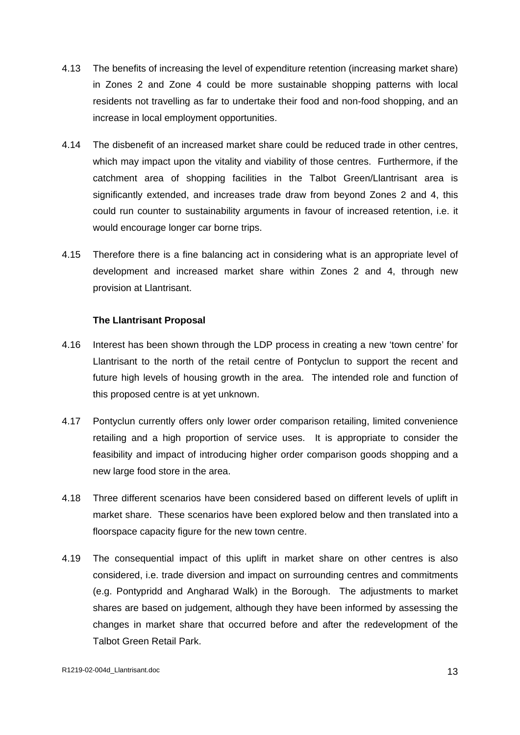- 4.13 The benefits of increasing the level of expenditure retention (increasing market share) in Zones 2 and Zone 4 could be more sustainable shopping patterns with local residents not travelling as far to undertake their food and non-food shopping, and an
- increase in local employment opportunities.<br>4.14 The disbenefit of an increased market share could be reduced trade in other centres, which may impact upon the vitality and viability of those centres. Furthermore, if the catchment area of shopping facilities in the Talbot Green/Llantrisant area is significantly extended, and increases trade draw from beyond Zones 2 and 4, this could run counter to sustainability arguments in favour of increased retention, i.e. it would encourage longer car borne trips.
- 4.15 Therefore there is a fine balancing act in considering what is an appropriate levelof development and increased market share within Zones 2 and 4, through new provision at Llantrisant.

## **The Llantrisant Proposal**

- 4.16 Interest has been shown through the LDP process in creating a new 'town centre' for Llantrisant to the north of the retail centre of Pontyclun to support the recent and future high levels of housing growth in the area. The intended role and function of this proposed centre is at yet unknown.
- 4.17 Pontyclun currently offers only lower order comparison retailing, limited convenience retailing and a high proportion of service uses. It is appropriate to consider the feasibility and impact of introducing higher order comparison goods shopping and a new large food store in the area.
- 4.18 Three different scenarios have been considered based on different levels of uplift in market share. These scenarios have been explored below and then translated into a
- floorspace capacity figure for the new town centre. 4.19 The consequential impact of this uplift in market share on other centres is also considered, i.e. trade diversion and impact on surrounding centres and commitments (e.g. Pontypridd and Angharad Walk) in the Borough. The adjustments to market shares are based on judgement, although they have been informed by assessing the changes in market share that occurred before and after the redevelopment of the Talbot Green Retail Park.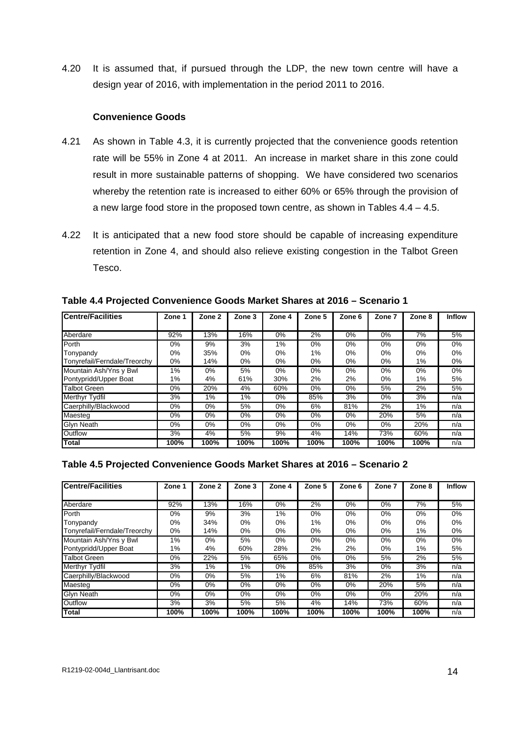4.20 It is assumed that, if pursued through the LDP, the new town centre will have a design year of 2016, with implementation in the period 2011 to 2016.

## **Convenience Goods**

- 4.21 As shown in Table 4.3, it is currently projected that the convenience goods retention rate will be 55% in Zone 4 at 2011. An increase in market share in this zone could result in more sustainable patterns of shopping. We have considered two scenarios whereby the retention rate is increased to either 60% or 65% through the provision of
- a new large food store in the proposed town centre, as shown in Tables 4.4 4.5.<br>4.22 It is anticipated that a new food store should be capable of increasing expenditure retention in Zone 4, and should also relieve existing congestion in the Talbot Green Tesco.

| <b>Centre/Facilities</b>       |                |             |                           |               |                                               |                  | Zone 1 Zone 2 Zone 3 Zone 4 Zone 5 Zone 6 Zone 7 Zone 8 Inflow |               |                       |
|--------------------------------|----------------|-------------|---------------------------|---------------|-----------------------------------------------|------------------|----------------------------------------------------------------|---------------|-----------------------|
|                                |                |             |                           |               |                                               |                  |                                                                |               |                       |
|                                |                |             |                           |               |                                               |                  |                                                                |               |                       |
| Aberdare                       | 92%            | 13%         |                           |               |                                               | 177 <sub>0</sub> |                                                                |               |                       |
|                                | <b>U70</b>     |             |                           |               |                                               |                  |                                                                |               |                       |
| pnypandy                       | . U / 0        | <b>JJ70</b> |                           |               |                                               |                  |                                                                | <b>v</b> /    |                       |
| Tonyrefail/Ferndale/Treorchy   | U% U           | 14%         | $\mathbf{U}$ $\mathbf{V}$ |               |                                               |                  |                                                                |               | $\mathbf{U}$ $\alpha$ |
| Mountain Ash/Yns y Bwl         |                |             |                           |               |                                               |                  |                                                                |               |                       |
|                                |                |             |                           |               |                                               |                  |                                                                |               |                       |
| Pontypridd/Upper Boat          |                |             |                           | -30%          |                                               |                  |                                                                |               |                       |
| Talbot Green<br>Merthyr Tydfil |                | $20\%$      |                           |               |                                               |                  |                                                                |               |                       |
|                                |                |             |                           |               |                                               |                  |                                                                |               |                       |
| Caerphilly/Blackwood           | $\frac{19}{6}$ |             |                           |               |                                               |                  |                                                                |               | n/a                   |
| viaeste                        |                |             |                           |               |                                               |                  |                                                                |               |                       |
| Glvn Neath                     |                |             |                           |               |                                               |                  |                                                                |               |                       |
|                                |                |             |                           |               |                                               |                  |                                                                |               |                       |
|                                |                |             |                           |               |                                               |                  |                                                                |               |                       |
|                                |                | 100% 100%   | $100\%$                   | 100% <b>1</b> | $\parallel$ 100% $\parallel$ 100% $\parallel$ |                  | 100%                                                           | $100\%$ $n/a$ |                       |

**Table 4.4 Projected Convenience Goods Market Shares at 2016 – Scenario 1**

## **Table 4.5 Projected Convenience Goods Market Shares at 2016 – Scenario 2**

| <b>Centre/Facilities</b>     |      |      |  |             |      | Zone 1   Zone 2   Zone 3   Zone 4   Zone 5   Zone 6   Zone 7   Zone 8   Inflow |                   |  |
|------------------------------|------|------|--|-------------|------|--------------------------------------------------------------------------------|-------------------|--|
|                              |      |      |  |             |      |                                                                                |                   |  |
|                              | -92% |      |  |             |      |                                                                                |                   |  |
|                              |      |      |  |             |      |                                                                                |                   |  |
|                              |      | 74%  |  |             |      |                                                                                |                   |  |
| Tonyrefail/Ferndale/Treorchy |      | 14%  |  |             |      |                                                                                |                   |  |
| Mountain Ash/Yns y Bwl       |      |      |  |             |      |                                                                                |                   |  |
| 'ontypridd/Upper Boat        |      |      |  |             |      |                                                                                |                   |  |
| <b>Talbot Greer</b>          |      |      |  |             |      |                                                                                |                   |  |
| <b>Terthyr Tydfil</b>        |      |      |  | OO 70       |      |                                                                                |                   |  |
| Caerphilly/Blackwood         |      |      |  |             |      |                                                                                |                   |  |
|                              |      |      |  |             |      | <b>ZU70</b>                                                                    |                   |  |
| Glvn Neath                   |      |      |  |             |      |                                                                                |                   |  |
|                              |      |      |  |             |      |                                                                                |                   |  |
|                              | 100% | 100% |  | <b>100%</b> | 100% |                                                                                | <b>100% I</b> n/a |  |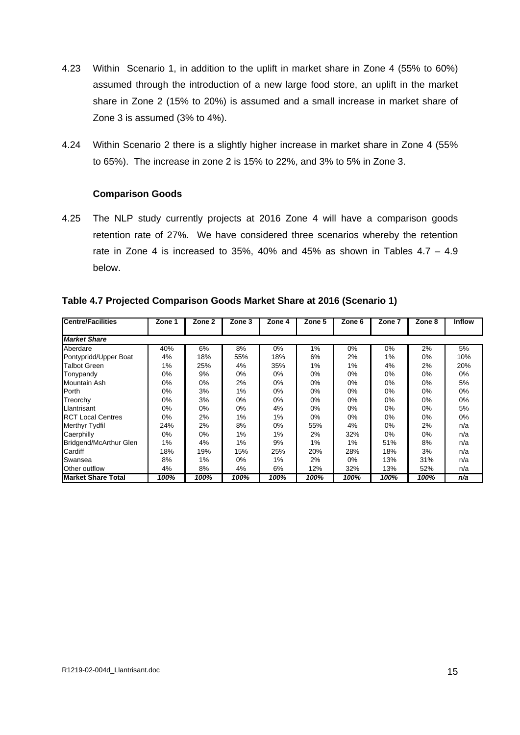- 4.23 Within Scenario 1, in addition to the uplift in market share in Zone 4 (55% to 60%) assumed through the introduction of a new large food store, an uplift in the market share in Zone 2 (15% to 20%) is assumed and a small increase in market share of
- Zone 3 is assumed (3% to 4%).<br>4.24 Within Scenario 2 there is a slightly higher increase in market share in Zone 4 (55% to 65%). The increase in zone 2 is 15% to 22%, and 3% to 5% in Zone 3.

## **Comparison Goods**

4.25 The NLP study currently projects at 2016 Zone 4 will have a comparison goods retention rate of 27%. We have considered three scenarios whereby the retention rate in Zone 4 is increased to 35%, 40% and 45% as shown in Tables  $4.7 - 4.9$ below. The contract of the contract of the contract of the contract of the contract of the contract of the contract of the contract of the contract of the contract of the contract of the contract of the contract of the con

| <b>Centre/Facilities</b>               |       |                | Zone 1   Zone 2   Zone 3   Zone 4   Zone 5   Zone 6   Zone 7   Zone 8   Inflow |     |      |                              |           |     |  |
|----------------------------------------|-------|----------------|--------------------------------------------------------------------------------|-----|------|------------------------------|-----------|-----|--|
| <b>Market Share</b>                    |       |                |                                                                                |     |      |                              |           |     |  |
| Aberdare                               | 40%   |                |                                                                                |     |      |                              |           |     |  |
|                                        | 4%    | 18%            | ່ວວ%                                                                           |     | O%   |                              |           |     |  |
| Pontypridd/Upper Boat<br> Talbot Green |       | 25%            |                                                                                |     |      |                              |           |     |  |
| Tonypandy                              | 0%    |                |                                                                                |     |      |                              |           |     |  |
| Mountain Ash                           | 0%    | - 0%           |                                                                                |     | 0%   | <b>U70</b>                   | -0%       |     |  |
| orth                                   | 0%    | ە7%            |                                                                                |     | U%   | U70                          | <b>0%</b> | 0%  |  |
| l reorchy                              | 0%    | 70- ي          |                                                                                |     | U%   | <b>U70</b>                   | U%        |     |  |
| Llantrisant                            | U%    | U%             |                                                                                |     | U 70 |                              |           |     |  |
| <b>RCT Local Centres</b>               | 0%    |                |                                                                                |     |      |                              |           |     |  |
| Merthyr Tydfil                         | 24%   | $\sim$ 70      |                                                                                |     |      |                              |           |     |  |
|                                        | 0%    |                |                                                                                |     | 270  |                              | U%        | 0%  |  |
| Caerphilly<br>Bridgend/McArthur Glen   | $1\%$ |                |                                                                                |     |      |                              |           |     |  |
| ardiff;                                | 18%   | 19%            | 15%                                                                            | 25% | 200/ |                              |           |     |  |
| Swansea                                | 8%    |                |                                                                                |     | 270  |                              |           | 31% |  |
| Other outflow                          |       |                |                                                                                |     |      | 32%                          | 13%       | 52% |  |
| <b>Market Share Total</b>              |       | 100% 100% 100% |                                                                                |     |      | 100% 100% 100% 100% 100% n/a |           |     |  |

**Table 4.7 Projected Comparison Goods Market Share at 2016 (Scenario 1)**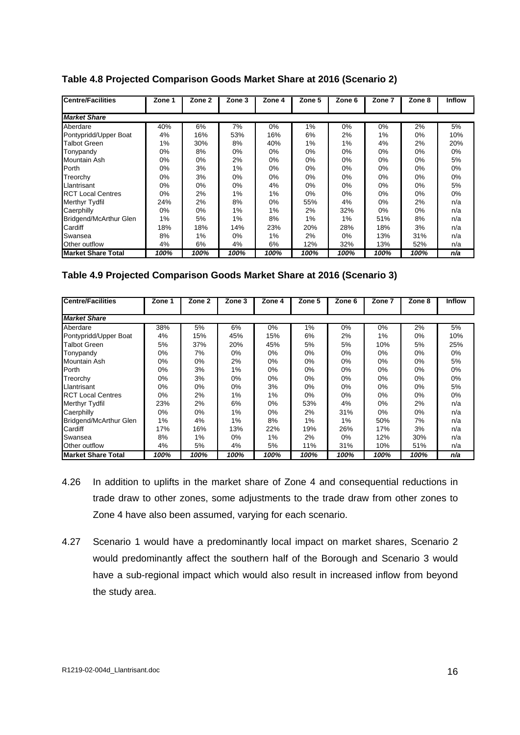| <b>Centre/Facilities</b>                   | Zone 1             | Zone 2 Zone 3   |      |      |      |              |          |               | 3 Zone 4 Zone 5 Zone 6 Zone 7 Zone 8 Inflow |
|--------------------------------------------|--------------------|-----------------|------|------|------|--------------|----------|---------------|---------------------------------------------|
|                                            |                    |                 |      |      |      |              |          |               |                                             |
| <b>Market Share</b>                        |                    |                 |      |      |      |              |          |               |                                             |
| Aberdare                                   | 40%                |                 |      |      |      |              |          |               |                                             |
|                                            |                    | 10%             | 53%  |      |      |              |          |               |                                             |
| Pontypridd/Upper Boat<br> Talbot Green     |                    | 30%             |      | 4U%  |      |              | 470      | Z 70          | 20%                                         |
| Tonypandy                                  |                    |                 |      |      |      |              |          |               |                                             |
| Mountain Ash                               |                    |                 |      |      |      |              |          |               |                                             |
| 'orth                                      |                    | $\mathcal{O}/0$ |      |      |      |              |          | -0%           |                                             |
| Freorchy                                   | U70                | - J / 0         |      |      |      |              |          | $0\%$         |                                             |
| Llantrisant                                |                    | $U$ %           |      |      |      | <b>U70</b>   | $\cup$ / | U70           | 0 / ن                                       |
|                                            |                    |                 |      |      |      |              |          | $\cup$ /0     |                                             |
| <b>RCT Local Centres</b><br>Merthyr Tydfil | <b>U</b> /0<br>24% |                 |      |      | .OO7 | -470         |          |               |                                             |
|                                            |                    | 70 کے           |      |      |      |              |          | $\sim$ /0     |                                             |
| Caerphilly<br>Bridgend/McArthur Glen       |                    |                 |      |      |      |              |          |               |                                             |
|                                            |                    |                 | 14%  | 23%  |      |              |          |               |                                             |
| ardiff                                     | 18%                | 18%             |      |      |      |              |          |               |                                             |
| Swansea                                    |                    |                 |      |      |      |              |          |               |                                             |
| Other outflow                              |                    |                 |      |      |      | 32%          | 13%      | 52%           |                                             |
| <b>Market Share Total</b><br>_____         | 100%               | $\vert$ 100%    | 100% | 100% | 100% | $\vert$ 100% |          | 100% 100% n/a |                                             |

**Table 4.8 Projected Comparison Goods Market Share at 2016 (Scenario 2)**

## **Table 4.9 Projected Comparison Goods Market Share at 2016 (Scenario 3)**

| <b>Centre/Facilities</b>             |         | Zone 1   Zone 2   Zone 3   Zone 4   Zone 5   Zone 6   Zone 7   Zone 8   Inflow |       |              |            |      |             |              |     |
|--------------------------------------|---------|--------------------------------------------------------------------------------|-------|--------------|------------|------|-------------|--------------|-----|
|                                      |         |                                                                                |       |              |            |      |             |              |     |
| <b>Market Share</b>                  |         |                                                                                |       |              |            |      |             |              |     |
|                                      |         |                                                                                |       |              |            |      |             |              |     |
| Aberdare                             |         |                                                                                |       |              |            |      |             |              |     |
| Pontypridd/Upper Boat                | 4%      |                                                                                |       | 15%          |            |      |             |              |     |
| Talbot Green                         | - 5%    |                                                                                | 20%   | 45%          |            |      | 1070        | <b>J70</b>   | 25% |
|                                      | $U\%$   |                                                                                |       |              |            |      |             |              |     |
| Tonypandy<br>Mountain Ash            |         |                                                                                |       |              |            |      |             |              |     |
|                                      | U%      |                                                                                |       |              |            |      |             |              |     |
|                                      | U%      |                                                                                |       |              |            |      |             |              |     |
| l reorchy                            | $U\%$   | <b>U</b> /0                                                                    | U%    |              |            |      |             |              |     |
| Llantrisant                          | 0%      | U%                                                                             | $0\%$ |              |            |      |             |              |     |
| <b>RCT Local Centres</b>             | $U\%$   | $\sim$ 70                                                                      |       |              |            |      |             | <b>U</b> / 0 |     |
| Merthyr Tydfil                       | 23%     | 270                                                                            | 6%    |              | <u>ეაჯ</u> |      |             |              |     |
|                                      | $U\%$   |                                                                                |       |              |            | 31%  | <b>U</b> /0 | $\cup$ /0    |     |
| Caerphilly<br>Bridgend/McArthur Glen |         |                                                                                |       |              |            |      | 50%         |              |     |
|                                      | - 1%    | 4%                                                                             |       |              |            |      |             |              |     |
| ardıtt;                              |         |                                                                                | 13%   |              | 19%        |      |             |              |     |
| Swansea                              | ୪%      |                                                                                |       |              |            |      |             |              |     |
| Other outflow                        | 4%      |                                                                                |       |              |            | 31%  | 1 በ%        | 51%          |     |
| Market Share Total                   | $100\%$ | $\frac{100\%}{100\%}$                                                          | 100%  | <u>100% </u> | 100%       | 100% | 100%        | 100%         | n/a |

- 4.26 In addition to uplifts in the market share of Zone 4 and consequential reductions in trade draw to other zones, some adjustments to the trade draw from other zones to
- Zone 4 have also been assumed, varying for each scenario.<br>4.27 Scenario 1 would have a predominantly local impact on market shares, Scenario 2 would predominantly affect the southern half of the Borough and Scenario 3 would have a sub-regional impact which would also result in increased inflow from beyond the study area.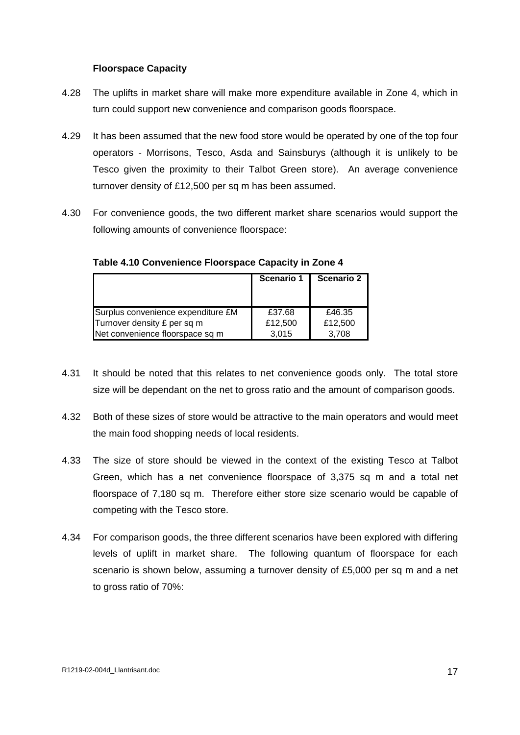## **Floorspace Capacity**

- 4.28 The uplifts in market share will make more expenditure available in Zone 4, which in turn could support new convenience and comparison goods floorspace.
- 4.29 It has been assumed that the new food store would be operated by one of the top four operators - Morrisons, Tesco, Asda and Sainsburys (although it is unlikely to be Tesco given the proximity to their Talbot Green store). An average convenience turnover density of £12,500 per sq m has been assumed.
- 4.30 For convenience goods, the two different market share scenarios would support the following amounts of convenience floorspace:

|                                    |         | Scenario 1   Scenario 2 |
|------------------------------------|---------|-------------------------|
|                                    |         |                         |
|                                    |         |                         |
| Surplus convenience expenditure £M | £37.68  | £46.35                  |
| Turnover density £ per sq m        | £12,500 | £12,500                 |
| Net convenience floorspace sq m    | 3,015   | 3,708                   |

# **Table 4.10 Convenience Floorspace Capacity in Zone 4**

- 4.31 It should be noted that this relates to net convenience goods only. The total store size will be dependant on the net to gross ratio and the amount of comparison goods.
- 4.32 Both of these sizes of store would be attractive to the main operators and would meet the main food shopping needs of local residents.
- 4.33 The size of store should be viewed in the context of the existing Tesco at Talbot Green, which has a net convenience floorspace of 3,375 sq m and a total net floorspace of 7,180 sq m. Therefore either store size scenario would be capable of competing with the Tesco store.
- 4.34 For comparison goods, the three different scenarios have been explored with differing levels of uplift in market share. The following quantum of floorspace for each scenario is shown below, assuming a turnover density of £5,000 per sq m and a net to gross ratio of 70%: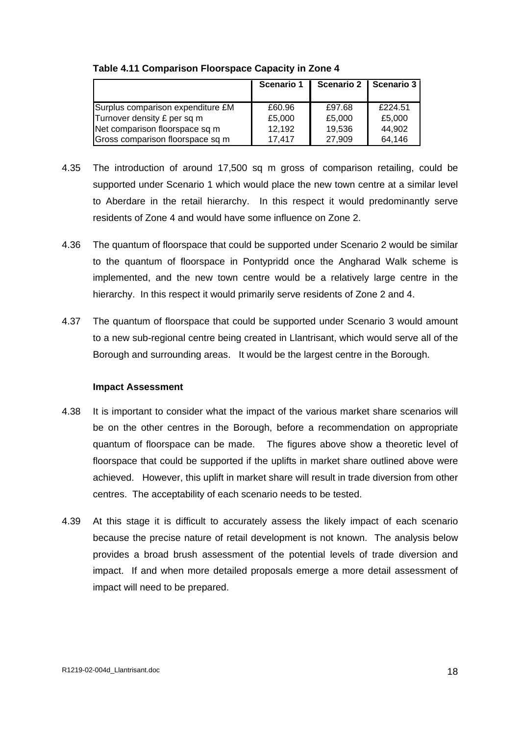|                                   | Scenario <sup>-</sup> | Scenario 2 Scenario 3 |         |
|-----------------------------------|-----------------------|-----------------------|---------|
| Surplus comparison expenditure £M | £60.96                | £97.68                | £224.51 |
| Turnover density £ per sq m       | £5,000                | £5,000                | £5,000  |
| Net comparison floorspace sq m    | 12,192                | 19,536                | 44,902  |
| Gross comparison floorspace sq m  | 17,417                | 27,909                | 64,146  |

## **Table 4.11 Comparison Floorspace Capacity in Zone 4**

- 4.35 The introduction of around 17,500 sq m gross of comparison retailing, could be supported under Scenario 1 which would place the new town centre at a similar level to Aberdare in the retail hierarchy. In this respect it would predominantly serve residents of Zone 4 and would have some influence on Zone 2.
- 4.36 The quantum of floorspace that could be supported under Scenario 2 would be similar to the quantum of floorspace in Pontypridd once the Angharad Walk scheme is implemented, and the new town centre would be a relatively large centre in the hierarchy. In this respect it would primarily serve residents of Zone 2 and 4.
- 4.37 The quantum of floorspace that could be supported under Scenario 3 would amount to a new sub-regional centre being created in Llantrisant, which would serve all of the Borough and surrounding areas. It would be the largest centre in the Borough.

## **Impact Assessment**

- 4.38 It is important to consider what the impact of the various market share scenarios will be on the other centres in the Borough, before a recommendation on appropriate quantum of floorspace can be made. The figures above show a theoretic level of floorspace that could be supported if the uplifts in market share outlined above were achieved. However, this uplift in market share will result in trade diversion from other centres. The acceptability of each scenario needs to be tested.
- 4.39 At this stage it is difficult to accurately assess the likely impact of each scenario because the precise nature of retail development is not known. The analysis below provides a broad brush assessment of the potential levels of trade diversion and impact. If and when more detailed proposals emerge a more detail assessment of impact will need to be prepared.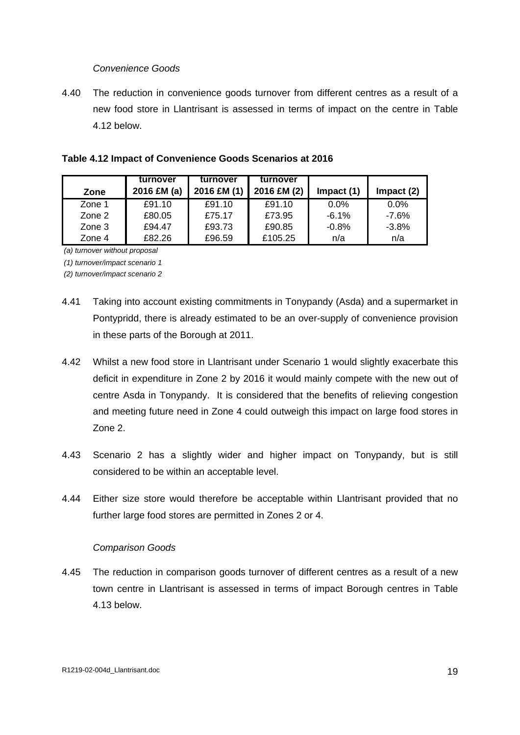#### Convenience Goods

4.40 The reduction in convenience goods turnover from different centres as a result of a new food store in Llantrisant is assessed in terms of impact on the centre in Table 4.12 below.

|        | turnover                                                          | *   turnover      | turnover |         |
|--------|-------------------------------------------------------------------|-------------------|----------|---------|
| Zone   | 2016 £M (a)   2016 £M (1)   2016 £M (2)   Impact (1)   Impact (2) |                   |          |         |
| ∠one   | £91.10                                                            |                   |          | J.V /0  |
| Zone 2 | £80.05                                                            | £75.17            | £73.95   | $-7.6%$ |
| Zone 3 | £94.47                                                            | £93.73            | £90.85   | $-3.8%$ |
| Zone 4 | £82.26                                                            | COG EO<br>ົ້ນບ.ບວ | 0.405    |         |

| Table 4.12 Impact of Convenience Goods Scenarios at 2016 |  |
|----------------------------------------------------------|--|
|                                                          |  |

(a) turnover without proposal

(1) turnover/impact scenario 1

(2) turnover/impact scenario 2

- 4.41 Taking into account existing commitments in Tonypandy (Asda) and a supermarket in Pontypridd, there is already estimated to be an over-supply of convenience provision
- in these parts of the Borough at 2011. 4.42 Whilst <sup>a</sup> new food store in Llantrisant under Scenario <sup>1</sup> would slightly exacerbate this deficit in expenditure in Zone 2 by 2016 it would mainly compete with the new out of centre Asda in Tonypandy. It is considered that the benefits of relieving congestion and meeting future need in Zone 4 could outweigh this impact on large food stores in Zone 2.
- 4.43 Scenario 2 has a slightly wider and higher impact on Tonypandy, but is still considered to be within an acceptable level.
- 4.44 Either size store would therefore be acceptable within Llantrisant provided that no further large food stores are permitted in Zones 2 or 4.

#### Comparison Goods

4.45 The reduction in comparison goods turnover of different centres as a result of a new town centre in Llantrisant is assessed in terms of impact Borough centres in Table 4.13 below.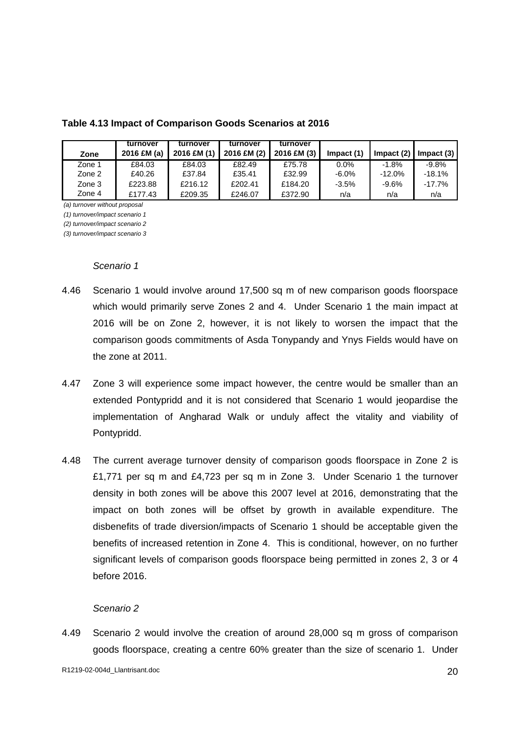| Table 4.13 Impact of Comparison Goods Scenarios at 2016 |
|---------------------------------------------------------|
|---------------------------------------------------------|

|         | turnover turnover                                                                            | turnover turnover |      |  |           |
|---------|----------------------------------------------------------------------------------------------|-------------------|------|--|-----------|
|         | 2016 £M (a)   2016 £M (1)   2016 £M (2)   2016 £M (3)   Impact (1)   Impact (2)   Impact (3) |                   |      |  |           |
| £84.03  |                                                                                              | £82.49            |      |  | -9.8%     |
| £40.26  | 0.0701                                                                                       | £35.41            |      |  | $-18.1%$  |
| LZZJ.00 | 0.016M <sup>2</sup>                                                                          |                   | C1QA |  | $-17.7\%$ |
|         | ∟∠ບອ.ບ                                                                                       |                   | 0222 |  |           |

(a) turnover without proposal

(1) turnover/impact scenario 1

(2) turnover/impact scenario 2

(3) turnover/impact scenario 3

#### Scenario 1 anno 1000 anno 1000 anno 1000 anno 1000 anno 1000 anno 1000 anno 1000 anno 1000 anno 1000 anno 1000

- 4.46 Scenario 1 would involve around 17,500 sq m of new comparison goods floorspace which would primarily serve Zones 2 and 4. Under Scenario 1 the main impact at 2016 will be on Zone 2, however, it is not likely to worsen the impact that the comparison goods commitments of Asda Tonypandy and Ynys Fields would have on the zone at 2011.
- 4.47 Zone 3 will experience some impact however, the centre would be smaller than an extended Pontypridd and it is not considered that Scenario 1 would jeopardise the implementation of Angharad Walk or unduly affect the vitality and viability of Pontypridd.
- 4.48 The current average turnover density of comparison goods floorspace in Zone 2 is £1,771 per sq m and £4,723 per sq m in Zone 3. Under Scenario 1 the turnover density in both zones will be above this 2007 level at 2016, demonstrating that the impact on both zones will be offset by growth in available expenditure. The disbenefits of trade diversion/impacts of Scenario 1 should be acceptable given the benefits of increased retention in Zone 4. This is conditional, however, on no further significant levels of comparison goods floorspace being permitted in zones 2, 3 or 4 before 2016.

#### Scenario 2 anno 2008. Il suoi suoi suomen valtamanten valtamanten valtamanten valtamanten valtamanten valtaman

4.49 Scenario 2 would involve the creation of around 28,000 sq m gross of comparison goods floorspace, creating a centre 60% greater than the size of scenario 1. Under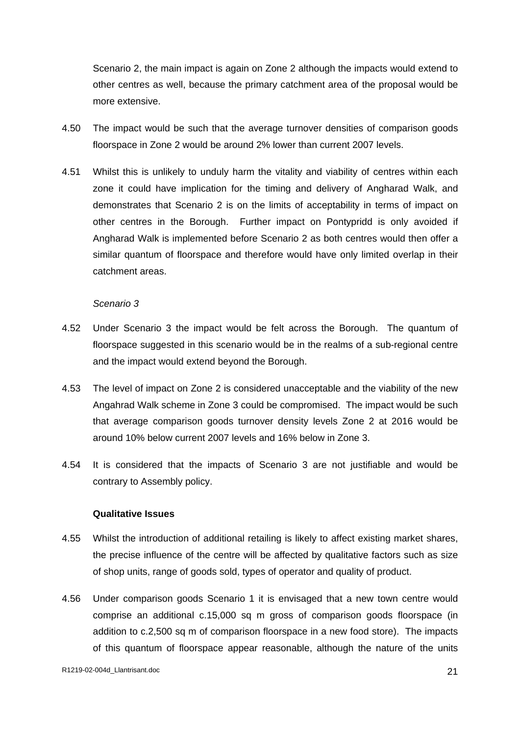Scenario 2, the main impact is again on Zone 2 although the impacts would extend to other centres as well, because the primary catchment area of the proposal would be

- more extensive.<br>4.50 The impact would be such that the average turnover densities of comparison goods floorspace in Zone 2 would be around 2% lower than current 2007 levels.
- 4.51 Whilst this is unlikely to unduly harm the vitality and viability of centres within each zone it could have implication for the timing and delivery of Angharad Walk, and demonstrates that Scenario 2 is on the limits of acceptability in terms of impact on other centres in the Borough. Further impact on Pontypridd is only avoided if Angharad Walk is implemented before Scenario 2 as both centres would then offer a similar quantum of floorspace and therefore would have only limited overlap in their catchment areas.

## Scenario 3 anno 2008. Il altre a control della contratta della contratta della contratta di unitato di unitato di unitato di unitato di unitato di unitato di unitato di unitato di unitato di unitato di unitato di unitato d

- 4.52 Under Scenario 3 the impact would be felt across the Borough. The quantum of floorspace suggested in this scenario would be in the realms of a sub-regional centre and the impact would extend beyond the Borough.
- 4.53 The level of impact on Zone 2 is considered unacceptable and the viability of the new Angahrad Walk scheme in Zone 3 could be compromised. The impact would be such that average comparison goods turnover density levels Zone 2 at 2016 would be around 10% below current 2007 levels and 16% below in Zone 3.
- 4.54 It is considered that the impacts of Scenario 3 are not justifiable and would be contrary to Assembly policy.

#### **Qualitative Issues**

- 4.55 Whilst the introduction of additional retailing is likely to affect existing market shares, the precise influence of the centre will be affected by qualitative factors such as size of shop units, range of goods sold, types of operator and quality of product.
- 4.56 Under comparison goods Scenario 1 it is envisaged that a new town centre would comprise an additional c.15,000 sq m gross of comparison goods floorspace (in addition to c.2,500 sq m of comparison floorspace in a new food store). The impacts of this quantum of floorspace appear reasonable, although the nature of the units